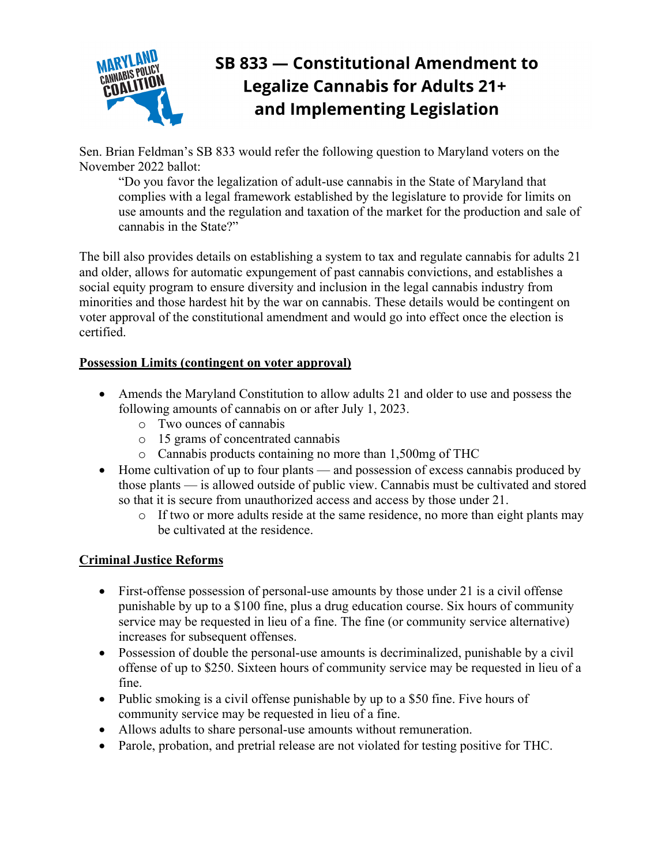

# SB 833 - Constitutional Amendment to **Legalize Cannabis for Adults 21+** and Implementing Legislation

Sen. Brian Feldman's SB 833 would refer the following question to Maryland voters on the November 2022 ballot:

"Do you favor the legalization of adult-use cannabis in the State of Maryland that complies with a legal framework established by the legislature to provide for limits on use amounts and the regulation and taxation of the market for the production and sale of cannabis in the State?"

The bill also provides details on establishing a system to tax and regulate cannabis for adults 21 and older, allows for automatic expungement of past cannabis convictions, and establishes a social equity program to ensure diversity and inclusion in the legal cannabis industry from minorities and those hardest hit by the war on cannabis. These details would be contingent on voter approval of the constitutional amendment and would go into effect once the election is certified.

#### **Possession Limits (contingent on voter approval)**

- Amends the Maryland Constitution to allow adults 21 and older to use and possess the following amounts of cannabis on or after July 1, 2023.
	- o Two ounces of cannabis
	- o 15 grams of concentrated cannabis
	- o Cannabis products containing no more than 1,500mg of THC
- Home cultivation of up to four plants and possession of excess cannabis produced by those plants — is allowed outside of public view. Cannabis must be cultivated and stored so that it is secure from unauthorized access and access by those under 21.
	- o If two or more adults reside at the same residence, no more than eight plants may be cultivated at the residence.

## **Criminal Justice Reforms**

- First-offense possession of personal-use amounts by those under 21 is a civil offense punishable by up to a \$100 fine, plus a drug education course. Six hours of community service may be requested in lieu of a fine. The fine (or community service alternative) increases for subsequent offenses.
- Possession of double the personal-use amounts is decriminalized, punishable by a civil offense of up to \$250. Sixteen hours of community service may be requested in lieu of a fine.
- Public smoking is a civil offense punishable by up to a \$50 fine. Five hours of community service may be requested in lieu of a fine.
- Allows adults to share personal-use amounts without remuneration.
- Parole, probation, and pretrial release are not violated for testing positive for THC.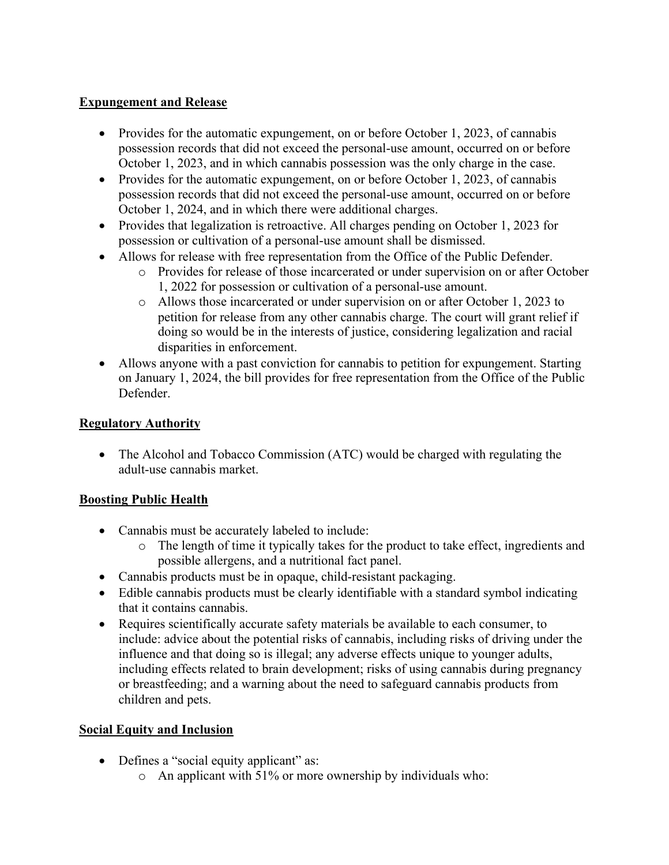#### **Expungement and Release**

- Provides for the automatic expungement, on or before October 1, 2023, of cannabis possession records that did not exceed the personal-use amount, occurred on or before October 1, 2023, and in which cannabis possession was the only charge in the case.
- Provides for the automatic expungement, on or before October 1, 2023, of cannabis possession records that did not exceed the personal-use amount, occurred on or before October 1, 2024, and in which there were additional charges.
- Provides that legalization is retroactive. All charges pending on October 1, 2023 for possession or cultivation of a personal-use amount shall be dismissed.
- Allows for release with free representation from the Office of the Public Defender.
	- o Provides for release of those incarcerated or under supervision on or after October 1, 2022 for possession or cultivation of a personal-use amount.
	- o Allows those incarcerated or under supervision on or after October 1, 2023 to petition for release from any other cannabis charge. The court will grant relief if doing so would be in the interests of justice, considering legalization and racial disparities in enforcement.
- Allows anyone with a past conviction for cannabis to petition for expungement. Starting on January 1, 2024, the bill provides for free representation from the Office of the Public Defender.

## **Regulatory Authority**

• The Alcohol and Tobacco Commission (ATC) would be charged with regulating the adult-use cannabis market.

## **Boosting Public Health**

- Cannabis must be accurately labeled to include:
	- o The length of time it typically takes for the product to take effect, ingredients and possible allergens, and a nutritional fact panel.
- Cannabis products must be in opaque, child-resistant packaging.
- Edible cannabis products must be clearly identifiable with a standard symbol indicating that it contains cannabis.
- Requires scientifically accurate safety materials be available to each consumer, to include: advice about the potential risks of cannabis, including risks of driving under the influence and that doing so is illegal; any adverse effects unique to younger adults, including effects related to brain development; risks of using cannabis during pregnancy or breastfeeding; and a warning about the need to safeguard cannabis products from children and pets.

## **Social Equity and Inclusion**

- Defines a "social equity applicant" as:
	- o An applicant with 51% or more ownership by individuals who: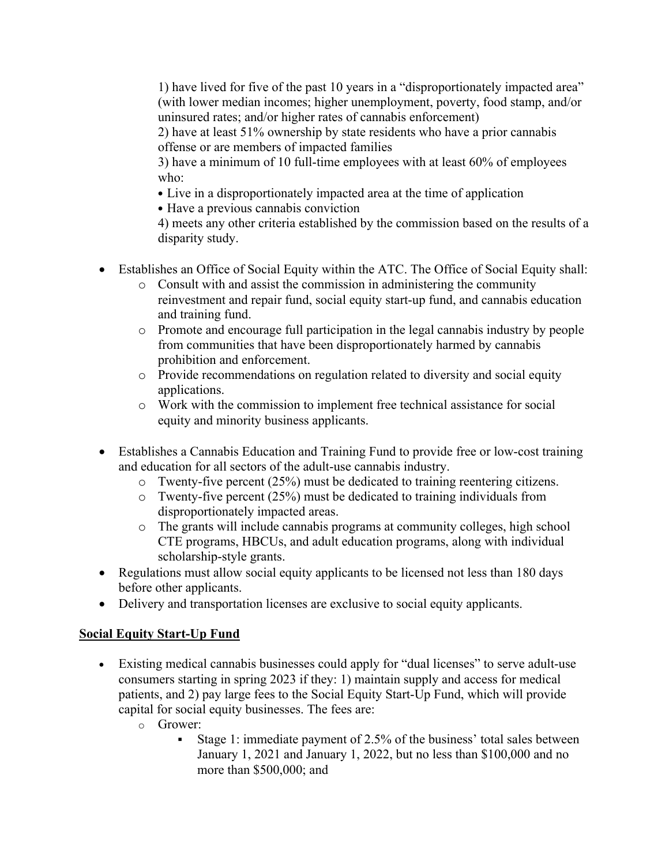1) have lived for five of the past 10 years in a "disproportionately impacted area" (with lower median incomes; higher unemployment, poverty, food stamp, and/or uninsured rates; and/or higher rates of cannabis enforcement)

2) have at least 51% ownership by state residents who have a prior cannabis offense or are members of impacted families

3) have a minimum of 10 full-time employees with at least 60% of employees who:

- Live in a disproportionately impacted area at the time of application
- Have a previous cannabis conviction

4) meets any other criteria established by the commission based on the results of a disparity study.

- Establishes an Office of Social Equity within the ATC. The Office of Social Equity shall:
	- o Consult with and assist the commission in administering the community reinvestment and repair fund, social equity start-up fund, and cannabis education and training fund.
	- o Promote and encourage full participation in the legal cannabis industry by people from communities that have been disproportionately harmed by cannabis prohibition and enforcement.
	- o Provide recommendations on regulation related to diversity and social equity applications.
	- o Work with the commission to implement free technical assistance for social equity and minority business applicants.
- Establishes a Cannabis Education and Training Fund to provide free or low-cost training and education for all sectors of the adult-use cannabis industry.
	- o Twenty-five percent (25%) must be dedicated to training reentering citizens.
	- o Twenty-five percent (25%) must be dedicated to training individuals from disproportionately impacted areas.
	- o The grants will include cannabis programs at community colleges, high school CTE programs, HBCUs, and adult education programs, along with individual scholarship-style grants.
- Regulations must allow social equity applicants to be licensed not less than 180 days before other applicants.
- Delivery and transportation licenses are exclusive to social equity applicants.

## **Social Equity Start-Up Fund**

- Existing medical cannabis businesses could apply for "dual licenses" to serve adult-use consumers starting in spring 2023 if they: 1) maintain supply and access for medical patients, and 2) pay large fees to the Social Equity Start-Up Fund, which will provide capital for social equity businesses. The fees are:
	- o Grower:
		- Stage 1: immediate payment of 2.5% of the business' total sales between January 1, 2021 and January 1, 2022, but no less than \$100,000 and no more than \$500,000; and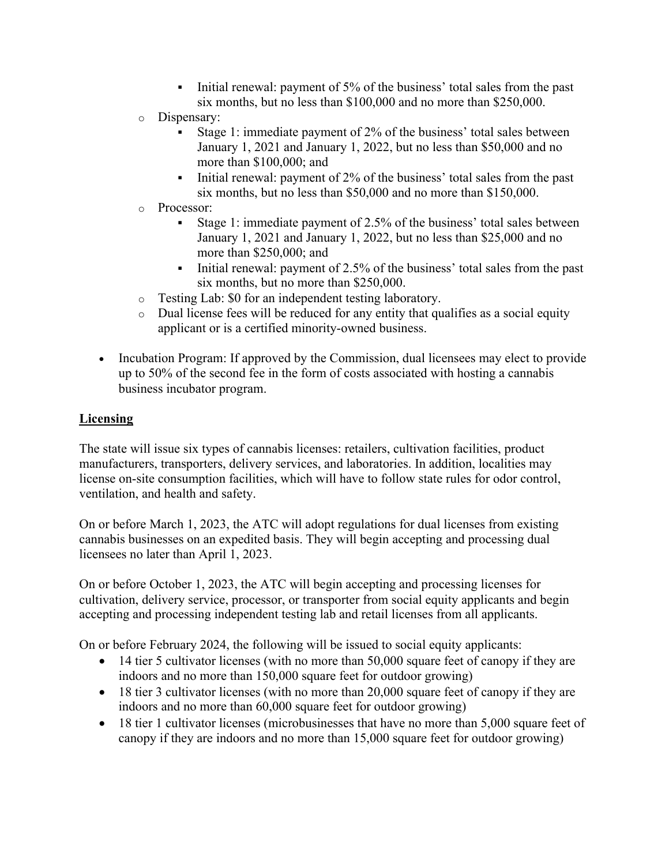- Initial renewal: payment of 5% of the business' total sales from the past six months, but no less than \$100,000 and no more than \$250,000.
- o Dispensary:
	- Stage 1: immediate payment of 2% of the business' total sales between January 1, 2021 and January 1, 2022, but no less than \$50,000 and no more than \$100,000; and
	- Initial renewal: payment of 2% of the business' total sales from the past six months, but no less than \$50,000 and no more than \$150,000.
- o Processor:
	- Stage 1: immediate payment of 2.5% of the business' total sales between January 1, 2021 and January 1, 2022, but no less than \$25,000 and no more than \$250,000; and
	- Initial renewal: payment of 2.5% of the business' total sales from the past six months, but no more than \$250,000.
- o Testing Lab: \$0 for an independent testing laboratory.
- $\circ$  Dual license fees will be reduced for any entity that qualifies as a social equity applicant or is a certified minority-owned business.
- Incubation Program: If approved by the Commission, dual licensees may elect to provide up to 50% of the second fee in the form of costs associated with hosting a cannabis business incubator program.

## **Licensing**

The state will issue six types of cannabis licenses: retailers, cultivation facilities, product manufacturers, transporters, delivery services, and laboratories. In addition, localities may license on-site consumption facilities, which will have to follow state rules for odor control, ventilation, and health and safety.

On or before March 1, 2023, the ATC will adopt regulations for dual licenses from existing cannabis businesses on an expedited basis. They will begin accepting and processing dual licensees no later than April 1, 2023.

On or before October 1, 2023, the ATC will begin accepting and processing licenses for cultivation, delivery service, processor, or transporter from social equity applicants and begin accepting and processing independent testing lab and retail licenses from all applicants.

On or before February 2024, the following will be issued to social equity applicants:

- 14 tier 5 cultivator licenses (with no more than 50,000 square feet of canopy if they are indoors and no more than 150,000 square feet for outdoor growing)
- 18 tier 3 cultivator licenses (with no more than 20,000 square feet of canopy if they are indoors and no more than 60,000 square feet for outdoor growing)
- 18 tier 1 cultivator licenses (microbusinesses that have no more than 5,000 square feet of canopy if they are indoors and no more than 15,000 square feet for outdoor growing)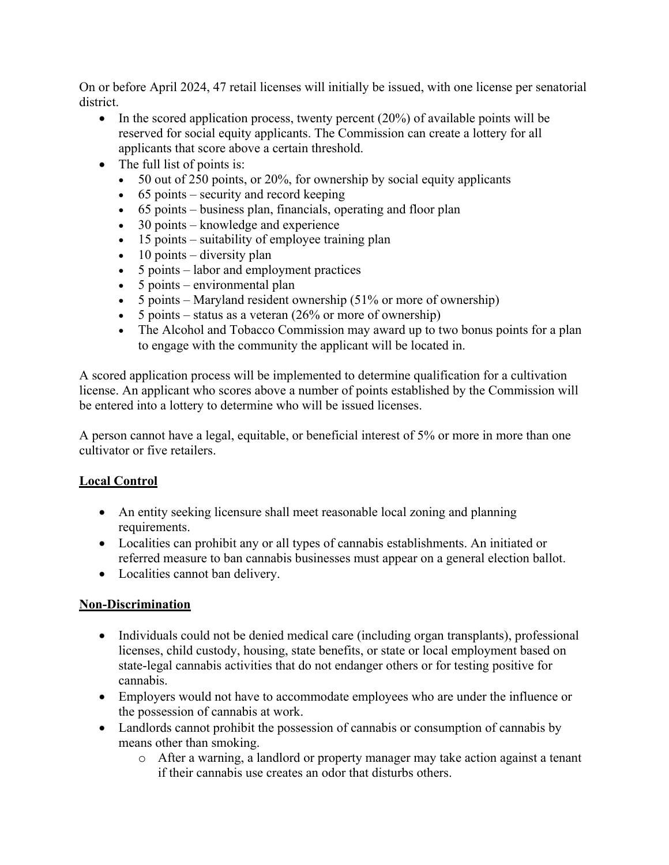On or before April 2024, 47 retail licenses will initially be issued, with one license per senatorial district.

- In the scored application process, twenty percent (20%) of available points will be reserved for social equity applicants. The Commission can create a lottery for all applicants that score above a certain threshold.
- The full list of points is:
	- 50 out of 250 points, or 20%, for ownership by social equity applicants
	- $\bullet$  65 points security and record keeping
	- 65 points business plan, financials, operating and floor plan
	- 30 points knowledge and experience
	- 15 points suitability of employee training plan
	- $\bullet$  10 points diversity plan
	- 5 points labor and employment practices
	- 5 points environmental plan
	- 5 points Maryland resident ownership  $(51\% \text{ or more of ownership})$
	- 5 points status as a veteran  $(26\% \text{ or more of ownership})$
	- The Alcohol and Tobacco Commission may award up to two bonus points for a plan to engage with the community the applicant will be located in.

A scored application process will be implemented to determine qualification for a cultivation license. An applicant who scores above a number of points established by the Commission will be entered into a lottery to determine who will be issued licenses.

A person cannot have a legal, equitable, or beneficial interest of 5% or more in more than one cultivator or five retailers.

#### **Local Control**

- An entity seeking licensure shall meet reasonable local zoning and planning requirements.
- Localities can prohibit any or all types of cannabis establishments. An initiated or referred measure to ban cannabis businesses must appear on a general election ballot.
- Localities cannot ban delivery.

#### **Non-Discrimination**

- Individuals could not be denied medical care (including organ transplants), professional licenses, child custody, housing, state benefits, or state or local employment based on state-legal cannabis activities that do not endanger others or for testing positive for cannabis.
- Employers would not have to accommodate employees who are under the influence or the possession of cannabis at work.
- Landlords cannot prohibit the possession of cannabis or consumption of cannabis by means other than smoking.
	- o After a warning, a landlord or property manager may take action against a tenant if their cannabis use creates an odor that disturbs others.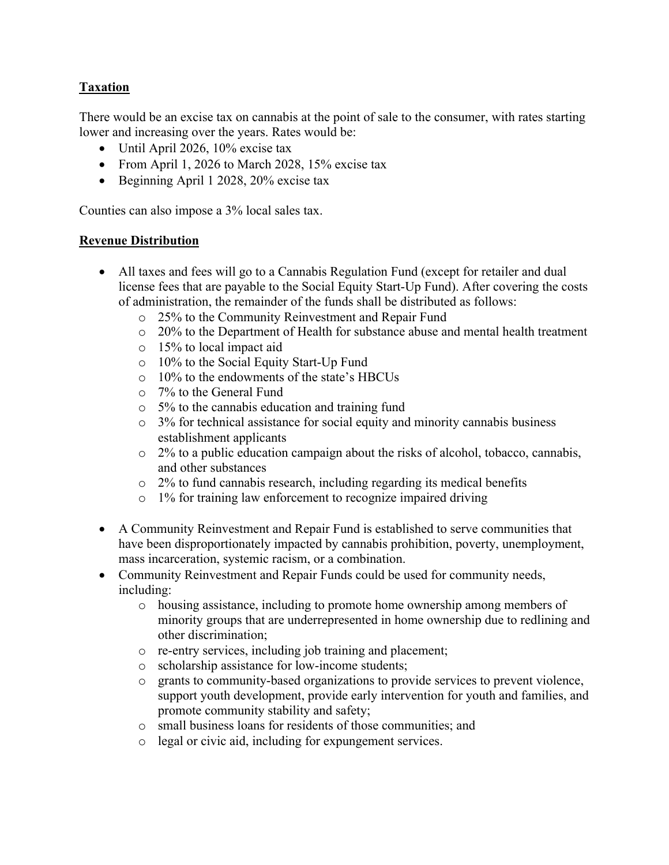## **Taxation**

There would be an excise tax on cannabis at the point of sale to the consumer, with rates starting lower and increasing over the years. Rates would be:

- Until April 2026, 10% excise tax
- From April 1, 2026 to March 2028, 15% excise tax
- Beginning April 1 2028, 20% excise tax

Counties can also impose a 3% local sales tax.

#### **Revenue Distribution**

- All taxes and fees will go to a Cannabis Regulation Fund (except for retailer and dual license fees that are payable to the Social Equity Start-Up Fund). After covering the costs of administration, the remainder of the funds shall be distributed as follows:
	- o 25% to the Community Reinvestment and Repair Fund
	- $\circ$  20% to the Department of Health for substance abuse and mental health treatment
	- o 15% to local impact aid
	- o 10% to the Social Equity Start-Up Fund
	- o 10% to the endowments of the state's HBCUs
	- o 7% to the General Fund
	- o 5% to the cannabis education and training fund
	- o 3% for technical assistance for social equity and minority cannabis business establishment applicants
	- o 2% to a public education campaign about the risks of alcohol, tobacco, cannabis, and other substances
	- o 2% to fund cannabis research, including regarding its medical benefits
	- o 1% for training law enforcement to recognize impaired driving
- A Community Reinvestment and Repair Fund is established to serve communities that have been disproportionately impacted by cannabis prohibition, poverty, unemployment, mass incarceration, systemic racism, or a combination.
- Community Reinvestment and Repair Funds could be used for community needs, including:
	- o housing assistance, including to promote home ownership among members of minority groups that are underrepresented in home ownership due to redlining and other discrimination;
	- o re-entry services, including job training and placement;
	- o scholarship assistance for low-income students;
	- o grants to community-based organizations to provide services to prevent violence, support youth development, provide early intervention for youth and families, and promote community stability and safety;
	- o small business loans for residents of those communities; and
	- o legal or civic aid, including for expungement services.